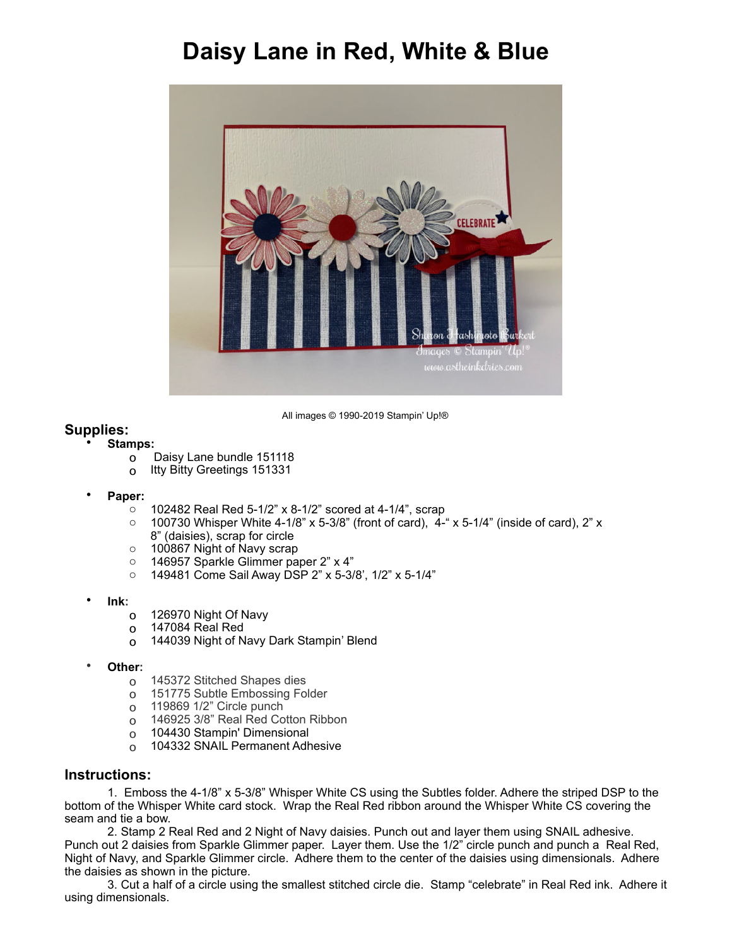## **Daisy Lane in Red, White & Blue**



All images © 1990-2019 Stampin' Up!®

## **Supplies:**

## • **Stamps:**

- o Daisy Lane bundle 151118
- o Itty Bitty Greetings 151331
- **Paper:** 
	- o 102482 Real Red 5-1/2" x 8-1/2" scored at 4-1/4", scrap
	- $\circ$  100730 Whisper White 4-1/8" x 5-3/8" (front of card), 4-" x 5-1/4" (inside of card), 2" x 8" (daisies), scrap for circle
	- o 100867 Night of Navy scrap
	- o 146957 Sparkle Glimmer paper 2" x 4"
	- o 149481 Come Sail Away DSP 2" x 5-3/8', 1/2" x 5-1/4"
- **Ink:** 
	- o 126970 Night Of Navy
	- o 147084 Real Red
	- o 144039 Night of Navy Dark Stampin' Blend
- **Other:** 
	- o 145372 Stitched Shapes dies
	- o 151775 Subtle Embossing Folder
	- o 119869 1/2" Circle punch
	- o 146925 3/8" Real Red Cotton Ribbon
	- o 104430 Stampin' Dimensional
	- o 104332 SNAIL Permanent Adhesive

## **Instructions:**

1. Emboss the 4-1/8" x 5-3/8" Whisper White CS using the Subtles folder. Adhere the striped DSP to the bottom of the Whisper White card stock. Wrap the Real Red ribbon around the Whisper White CS covering the seam and tie a bow.

 2. Stamp 2 Real Red and 2 Night of Navy daisies. Punch out and layer them using SNAIL adhesive. Punch out 2 daisies from Sparkle Glimmer paper. Layer them. Use the 1/2" circle punch and punch a Real Red, Night of Navy, and Sparkle Glimmer circle. Adhere them to the center of the daisies using dimensionals. Adhere the daisies as shown in the picture.

 3. Cut a half of a circle using the smallest stitched circle die. Stamp "celebrate" in Real Red ink. Adhere it using dimensionals.